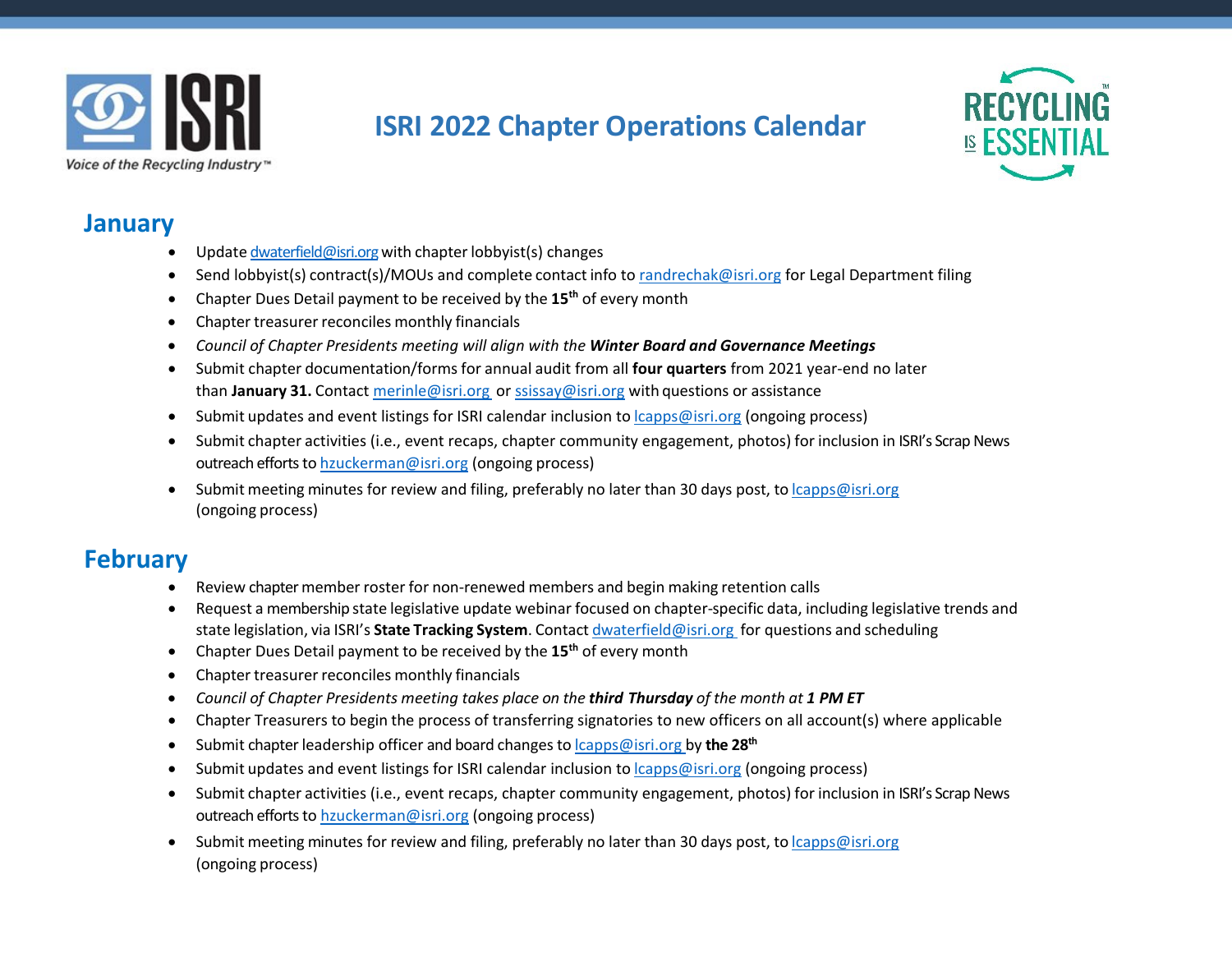

# **ISRI 2022 Chapter Operations Calendar**



#### **January**

- Update [dwaterfield@isri.org](mailto:dwaterfield@isri.org) with chapter lobbyist(s) changes
- Send lobbyist(s) contract(s)/MOUs and complete contact info to [randrechak@isri.org](mailto:randrechak@isri.org) for Legal Department filing
- Chapter Dues Detail payment to be received by the **15th** of every month
- Chapter treasurer reconciles monthly financials
- *Council of Chapter Presidents meeting will align with the Winter Board and Governance Meetings*
- Submit chapter documentation/forms for annual audit from all **four quarters** from 2021 year-end no later than **January 31.** Contact [merinle@isri.org](mailto:merinle@isri.org) or [ssissay@isri.org](mailto:ssissay@isri.org) with questions or assistance
- Submit updates and event listings for ISRI calendar inclusion to [lcapps@isri.org](mailto:lcapps@isri.org) (ongoing process)
- Submit chapter activities (i.e., event recaps, chapter community engagement, photos) for inclusion in ISRI's Scrap News outreach efforts to [hzuckerman@isri.org](mailto:hzuckerman@isri.org) (ongoing process)
- Submit meeting minutes for review and filing, preferably no later than 30 days post, to [lcapps@isri.org](mailto:lcapps@isri.org) (ongoing process)

## **February**

- Review chapter member roster for non-renewed members and begin making retention calls
- Request a membership state legislative update webinar focused on chapter-specific data, including legislative trends and state legislation, via ISRI's **State Tracking System**. Contact [dwaterfield@isri.org](mailto:dwaterfield@isri.org) for questions and scheduling
- Chapter Dues Detail payment to be received by the **15th** of every month
- Chapter treasurer reconciles monthly financials
- *Council of Chapter Presidents meeting takes place on the third Thursday of the month at 1 PM ET*
- Chapter Treasurers to begin the process of transferring signatories to new officers on all account(s) where applicable
- Submit chapter leadership officer and board changes to *[lcapps@isri.org](mailto:lcapps@isri.org)* by the 28<sup>th</sup>
- Submit updates and event listings for ISRI calendar inclusion to [lcapps@isri.org](mailto:lcapps@isri.org) (ongoing process)
- Submit chapter activities (i.e., event recaps, chapter community engagement, photos) for inclusion in ISRI's Scrap News outreach efforts to [hzuckerman@isri.org](mailto:hzuckerman@isri.org) (ongoing process)
- Submit meeting minutes for review and filing, preferably no later than 30 days post, to [lcapps@isri.org](mailto:lcapps@isri.org) (ongoing process)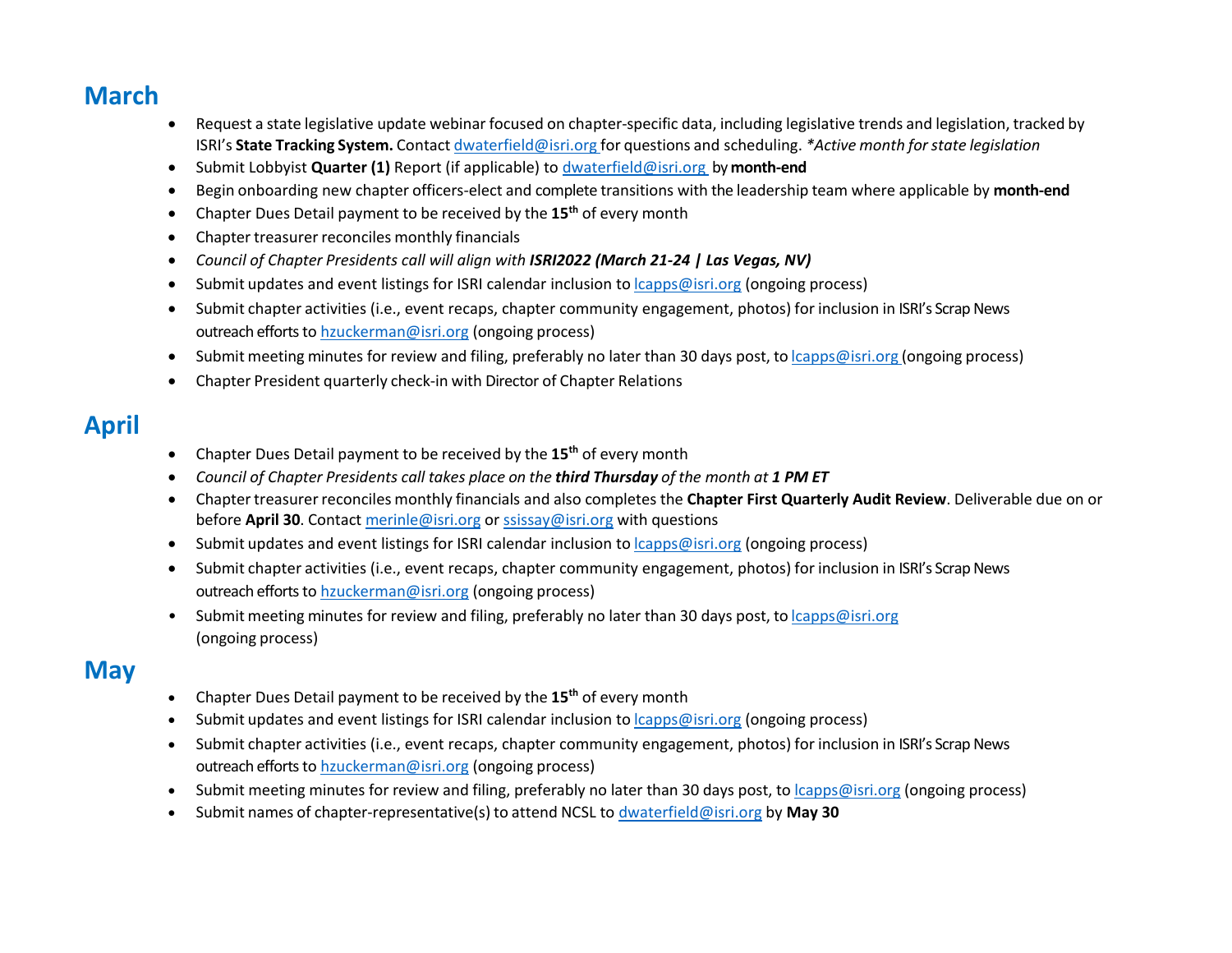## **March**

- Request a state legislative update webinar focused on chapter-specific data, including legislative trends and legislation, tracked by ISRI's **State Tracking System.** Contact [dwaterfield@isri.org](mailto:dwaterfield@isri.org) for questions and scheduling. *\*Active month forstate legislation*
- Submit Lobbyist **Quarter (1)** Report (if applicable) to [dwaterfield@isri.org](mailto:dwaterfield@isri.org) by **month-end**
- Begin onboarding new chapter officers-elect and complete transitions with the leadership team where applicable by **month-end**
- Chapter Dues Detail payment to be received by the **15th** of every month
- Chapter treasurer reconciles monthly financials
- *Council of Chapter Presidents call will align with ISRI2022 (March 21-24 | Las Vegas, NV)*
- Submit updates and event listings for ISRI calendar inclusion to [lcapps@isri.org](mailto:lcapps@isri.org) (ongoing process)
- Submit chapter activities (i.e., event recaps, chapter community engagement, photos) for inclusion in ISRI's Scrap News outreach efforts to [hzuckerman@isri.org](mailto:hzuckerman@isri.org) (ongoing process)
- Submit meeting minutes for review and filing, preferably no later than 30 days post, to *[lcapps@isri.org](mailto:lcapps@isri.org) (ongoing process)*
- Chapter President quarterly check-in with Director of Chapter Relations

## **April**

- Chapter Dues Detail payment to be received by the **15th** of every month
- *Council of Chapter Presidents call takes place on the third Thursday of the month at 1 PM ET*
- Chapter treasurer reconciles monthly financials and also completes the **Chapter First Quarterly Audit Review**. Deliverable due on or before **April 30**. Contact [merinle@isri.org](mailto:merinle@isri.org) o[r ssissay@isri.org](mailto:ssissay@isri.org) with questions
- Submit updates and event listings for ISRI calendar inclusion to [lcapps@isri.org](mailto:lcapps@isri.org) (ongoing process)
- Submit chapter activities (i.e., event recaps, chapter community engagement, photos) for inclusion in ISRI's Scrap News outreach efforts to [hzuckerman@isri.org](mailto:hzuckerman@isri.org) (ongoing process)
- Submit meeting minutes for review and filing, preferably no later than 30 days post, to [lcapps@isri.org](mailto:lcapps@isri.org) (ongoing process)

### **May**

- Chapter Dues Detail payment to be received by the **15th** of every month
- Submit updates and event listings for ISRI calendar inclusion to [lcapps@isri.org](mailto:lcapps@isri.org) (ongoing process)
- Submit chapter activities (i.e., event recaps, chapter community engagement, photos) for inclusion in ISRI's Scrap News outreach efforts to [hzuckerman@isri.org](mailto:hzuckerman@isri.org) (ongoing process)
- Submit meeting minutes for review and filing, preferably no later than 30 days post, to *capps@isri.org* (ongoing process)
- Submit names of chapter-representative(s) to attend NCSL to [dwaterfield@isri.org](mailto:dwaterfield@isri.org) by **May 30**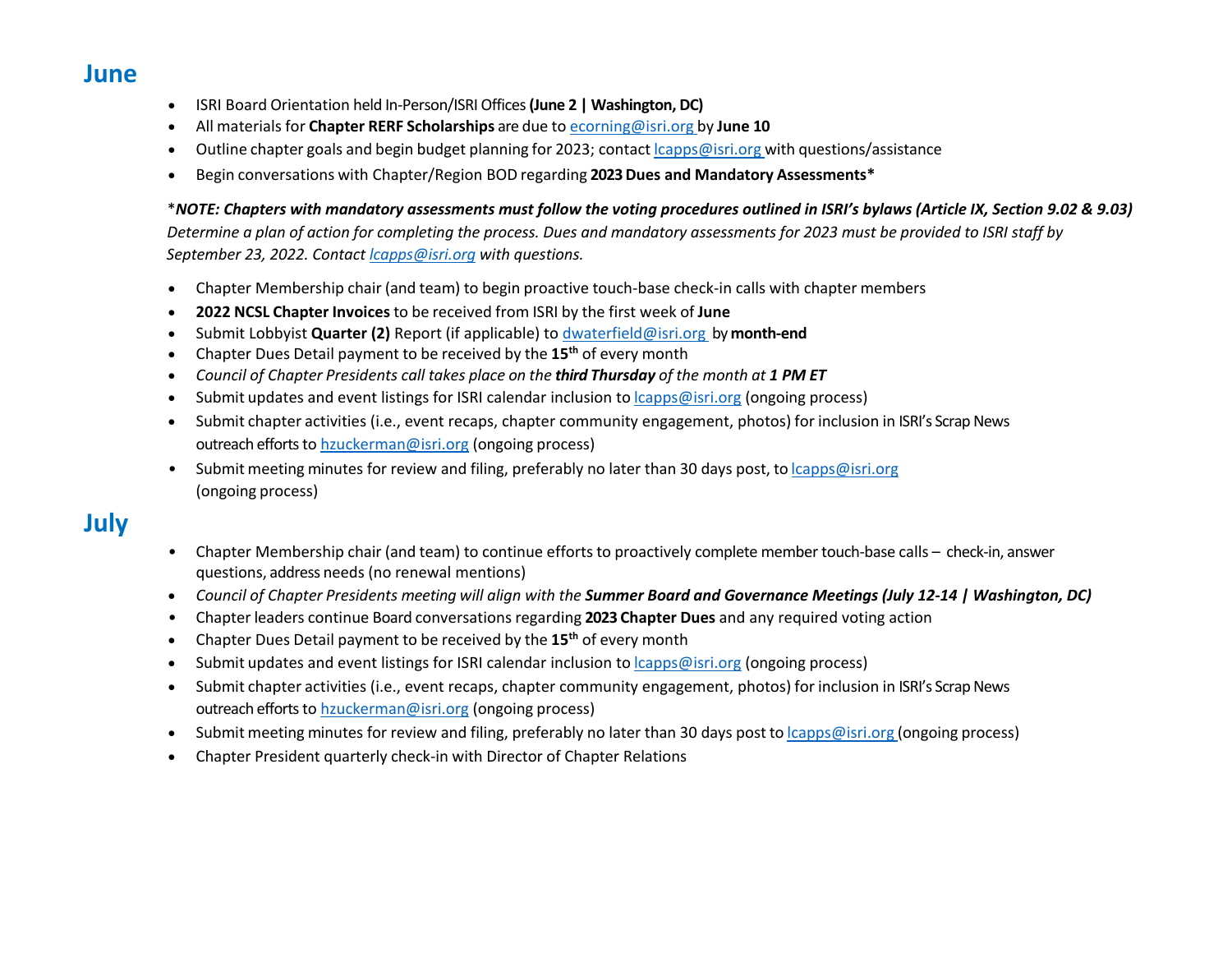**June**

- ISRI Board Orientation held In-Person/ISRI Offices**(June 2 | Washington, DC)**
- All materials for **Chapter RERF Scholarships** are due to [ecorning@isri.org](mailto:ecorning@isri.org) by **June 10**
- Outline chapter goals and begin budget planning for 2023; contact *capps@isri.org* with questions/assistance
- Begin conversations with Chapter/Region BOD regarding **2023 Dues and Mandatory Assessments\***

#### \**NOTE: Chapters with mandatory assessments must follow the voting procedures outlined in ISRI's bylaws (Article IX, Section 9.02 & 9.03)*

 *Determine a plan of action for completing the process. Dues and mandatory assessments for 2023 must be provided to ISRI staff by September 23, 2022. Contact [lcapps@isri.org](mailto:lcapps@isri.org) with questions.*

- Chapter Membership chair (and team) to begin proactive touch-base check-in calls with chapter members
- **2022 NCSL Chapter Invoices** to be received from ISRI by the first week of **June**
- Submit Lobbyist **Quarter (2)** Report (if applicable) t[o dwaterfield@isri.org](mailto:dwaterfield@isri.org) by **month-end**
- Chapter Dues Detail payment to be received by the **15th** of every month
- *Council of Chapter Presidents call takes place on the third Thursday of the month at 1 PM ET*
- Submit updates and event listings for ISRI calendar inclusion to  $lcaps@isri.org$  (ongoing process)
- Submit chapter activities (i.e., event recaps, chapter community engagement, photos) for inclusion in ISRI's Scrap News outreach efforts to [hzuckerman@isri.org](mailto:hzuckerman@isri.org) (ongoing process)
- Submit meeting minutes for review and filing, preferably no later than 30 days post, to [lcapps@isri.org](mailto:lcapps@isri.org) (ongoing process)

#### **July**

- Chapter Membership chair (and team) to continue efforts to proactively complete member touch-base calls check-in, answer questions, address needs (no renewal mentions)
- *Council of Chapter Presidents meeting will align with the Summer Board and Governance Meetings (July 12-14 | Washington, DC)*
- Chapter leaders continue Board conversations regarding 2023 Chapter Dues and any required voting action
- Chapter Dues Detail payment to be received by the **15th** of every month
- Submit updates and event listings for ISRI calendar inclusion to [lcapps@isri.org](mailto:lcapps@isri.org) (ongoing process)
- Submit chapter activities (i.e., event recaps, chapter community engagement, photos) for inclusion in ISRI's Scrap News outreach efforts to [hzuckerman@isri.org](mailto:hzuckerman@isri.org) (ongoing process)
- Submit meeting minutes for review and filing, preferably no later than 30 days post to *capps@isri.org (ongoing process)*
- Chapter President quarterly check-in with Director of Chapter Relations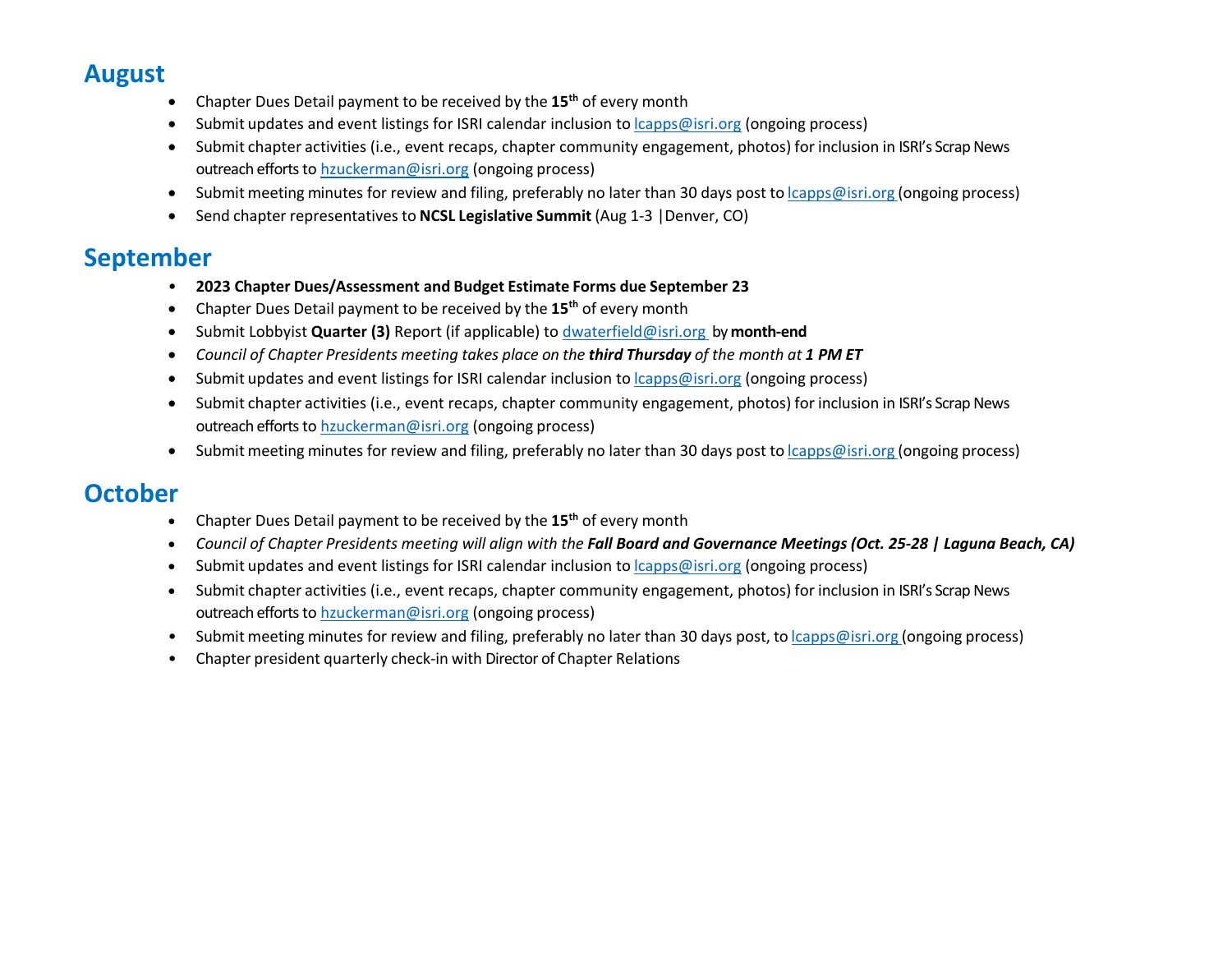## **August**

- Chapter Dues Detail payment to be received by the **15th** of every month
- Submit updates and event listings for ISRI calendar inclusion to [lcapps@isri.org](mailto:lcapps@isri.org) (ongoing process)
- Submit chapter activities (i.e., event recaps, chapter community engagement, photos) for inclusion in ISRI's Scrap News outreach efforts to [hzuckerman@isri.org](mailto:hzuckerman@isri.org) (ongoing process)
- Submit meeting minutes for review and filing, preferably no later than 30 days post to *capps@isri.org (ongoing process)*
- Send chapter representatives to **NCSL Legislative Summit** (Aug 1-3 |Denver, CO)

## **September**

- **2023 Chapter Dues/Assessment and Budget Estimate Forms due September 23**
- Chapter Dues Detail payment to be received by the **15th** of every month
- Submit Lobbyist **Quarter (3)** Report (if applicable) t[o dwaterfield@isri.org](mailto:dwaterfield@isri.org) by **month-end**
- *Council of Chapter Presidents meeting takes place on the third Thursday of the month at 1 PM ET*
- Submit updates and event listings for ISRI calendar inclusion to [lcapps@isri.org](mailto:lcapps@isri.org) (ongoing process)
- Submit chapter activities (i.e., event recaps, chapter community engagement, photos) for inclusion in ISRI's Scrap News outreach efforts to [hzuckerman@isri.org](mailto:hzuckerman@isri.org) (ongoing process)
- Submit meeting minutes for review and filing, preferably no later than 30 days post to *capps@isri.org (ongoing process)*

## **October**

- Chapter Dues Detail payment to be received by the **15th** of every month
- *Council of Chapter Presidents meeting will align with the Fall Board and Governance Meetings (Oct. 25-28 | Laguna Beach, CA)*
- Submit updates and event listings for ISRI calendar inclusion to **capps@isri.org** (ongoing process)
- Submit chapter activities (i.e., event recaps, chapter community engagement, photos) for inclusion in ISRI's Scrap News outreach efforts to [hzuckerman@isri.org](mailto:hzuckerman@isri.org) (ongoing process)
- Submit meeting minutes for review and filing, preferably no later than 30 days post, to *[lcapps@isri.org](mailto:lcapps@isri.org) (ongoing process)*
- Chapter president quarterly check-in with Director of Chapter Relations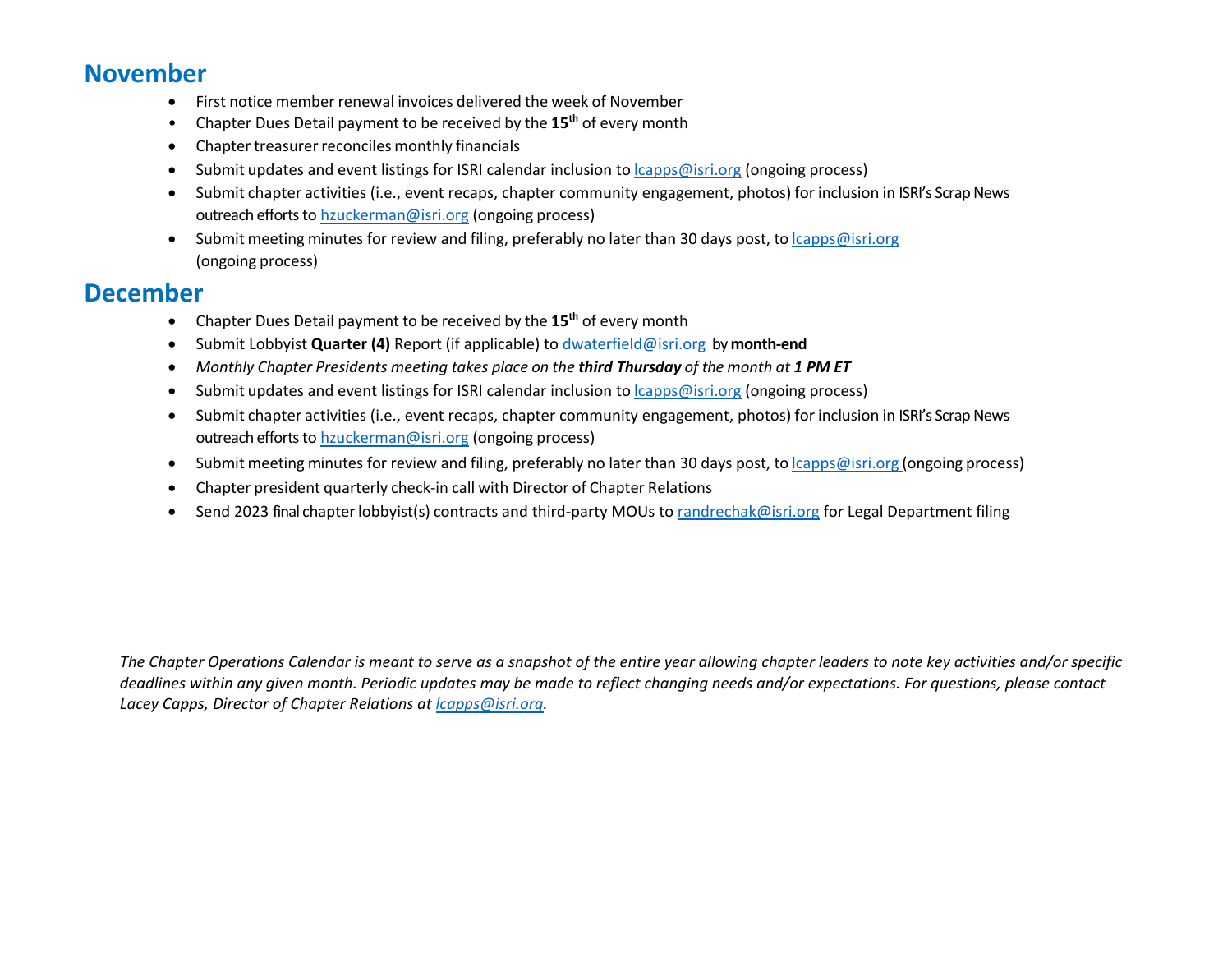#### **November**

- First notice member renewal invoices delivered the week of November
- Chapter Dues Detail payment to be received by the **15th** of every month
- Chapter treasurer reconciles monthly financials
- Submit updates and event listings for ISRI calendar inclusion to [lcapps@isri.org](mailto:lcapps@isri.org) (ongoing process)
- Submit chapter activities (i.e., event recaps, chapter community engagement, photos) for inclusion in ISRI's Scrap News outreach efforts to [hzuckerman@isri.org](mailto:hzuckerman@isri.org) (ongoing process)
- Submit meeting minutes for review and filing, preferably no later than 30 days post, to [lcapps@isri.org](mailto:lcapps@isri.org) (ongoing process)

### **December**

- Chapter Dues Detail payment to be received by the **15th** of every month
- Submit Lobbyist **Quarter (4)** Report (if applicable) t[o dwaterfield@isri.org](mailto:dwaterfield@isri.org) by **month-end**
- *Monthly Chapter Presidents meeting takes place on the third Thursday of the month at 1 PM ET*
- Submit updates and event listings for ISRI calendar inclusion to **capps@isri.org** (ongoing process)
- Submit chapter activities (i.e., event recaps, chapter community engagement, photos) for inclusion in ISRI's Scrap News outreach efforts to [hzuckerman@isri.org](mailto:hzuckerman@isri.org) (ongoing process)
- Submit meeting minutes for review and filing, preferably no later than 30 days post, to [lcapps@isri.org](mailto:lcapps@isri.org) (ongoing process)
- Chapter president quarterly check-in call with Director of Chapter Relations
- Send 2023 final chapter lobbyist(s) contracts and third-party MOUs t[o randrechak@isri.org](mailto:randrechak@isri.org) for Legal Department filing

*The Chapter Operations Calendar is meant to serve as a snapshot of the entire year allowing chapter leaders to note key activities and/or specific deadlines within any given month. Periodic updates may be made to reflect changing needs and/or expectations. For questions, please contact Lacey Capps, Director of Chapter Relations at [lcapps@isri.org.](mailto:lcapps@isri.org)*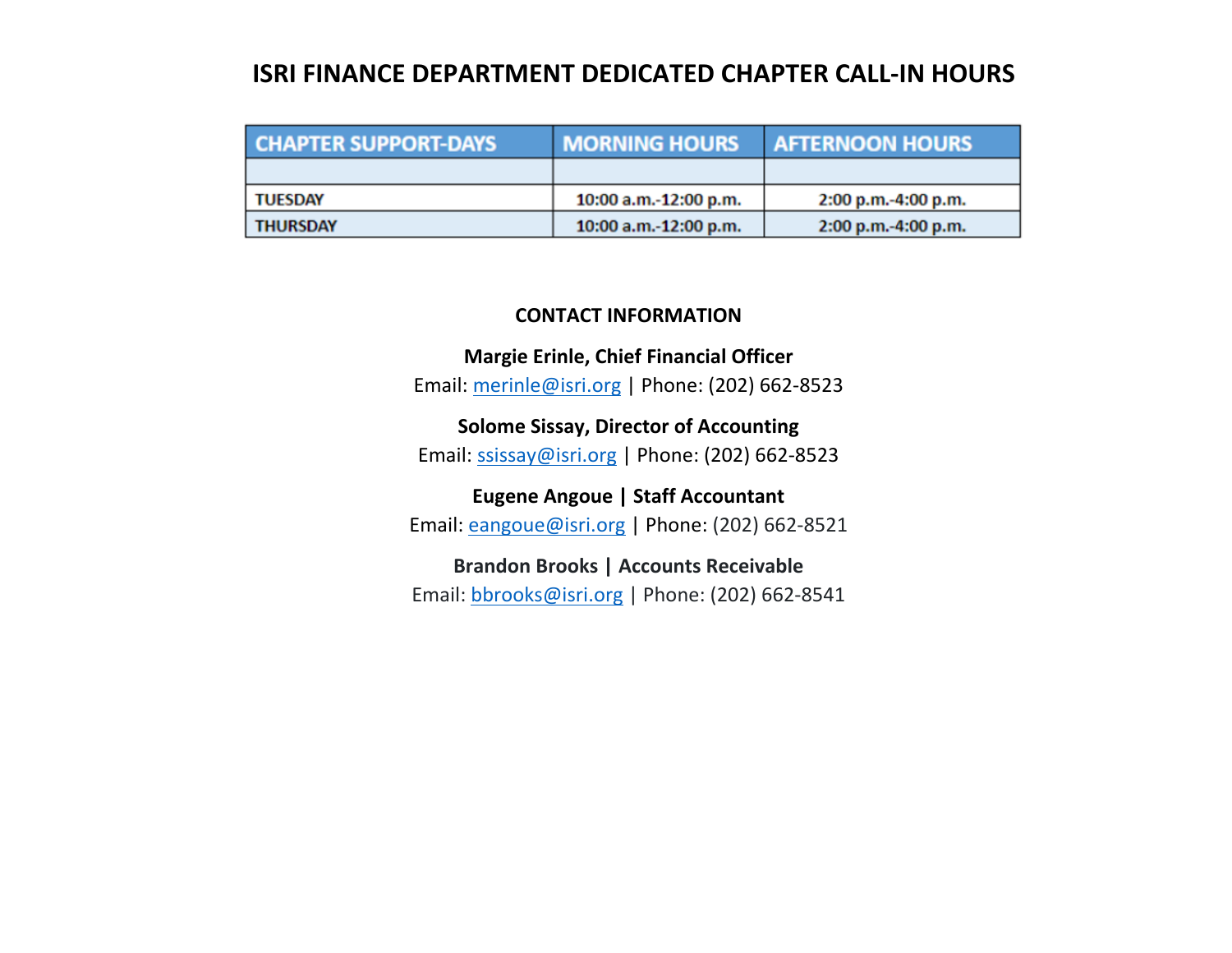### **ISRI FINANCE DEPARTMENT DEDICATED CHAPTER CALL-IN HOURS**

| <b>CHAPTER SUPPORT-DAYS</b> | <b>MORNING HOURS</b>  | <b>AFTERNOON HOURS</b> |
|-----------------------------|-----------------------|------------------------|
|                             |                       |                        |
| <b>TUESDAY</b>              | 10:00 a.m.-12:00 p.m. | 2:00 p.m.-4:00 p.m.    |
| <b>THURSDAY</b>             | 10:00 a.m.-12:00 p.m. | 2:00 p.m.-4:00 p.m.    |

#### **CONTACT INFORMATION**

**Margie Erinle, Chief Financial Officer** Email: [merinle@isri.org](mailto:merinle@isri.org) | Phone: (202) 662-8523

**Solome Sissay, Director of Accounting** Email: [ssissay@isri.org](mailto:ssissay@isri.org) | Phone: (202) 662-8523

**Eugene Angoue | Staff Accountant** Email: [eangoue@isri.org](mailto:eangoue@isri.org) | Phone: (202) 662-8521

**Brandon Brooks | Accounts Receivable** Email: [bbrooks@isri.org](mailto:bbrooks@isri.org) | Phone: (202) 662-8541